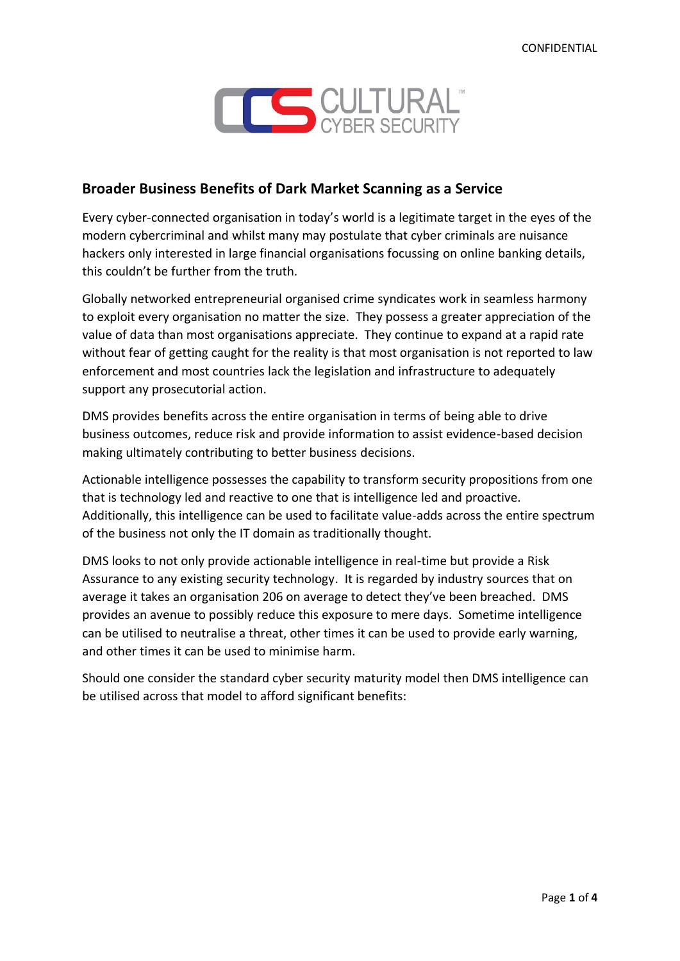

# **Broader Business Benefits of Dark Market Scanning as a Service**

Every cyber-connected organisation in today's world is a legitimate target in the eyes of the modern cybercriminal and whilst many may postulate that cyber criminals are nuisance hackers only interested in large financial organisations focussing on online banking details, this couldn't be further from the truth.

Globally networked entrepreneurial organised crime syndicates work in seamless harmony to exploit every organisation no matter the size. They possess a greater appreciation of the value of data than most organisations appreciate. They continue to expand at a rapid rate without fear of getting caught for the reality is that most organisation is not reported to law enforcement and most countries lack the legislation and infrastructure to adequately support any prosecutorial action.

DMS provides benefits across the entire organisation in terms of being able to drive business outcomes, reduce risk and provide information to assist evidence-based decision making ultimately contributing to better business decisions.

Actionable intelligence possesses the capability to transform security propositions from one that is technology led and reactive to one that is intelligence led and proactive. Additionally, this intelligence can be used to facilitate value-adds across the entire spectrum of the business not only the IT domain as traditionally thought.

DMS looks to not only provide actionable intelligence in real-time but provide a Risk Assurance to any existing security technology. It is regarded by industry sources that on average it takes an organisation 206 on average to detect they've been breached. DMS provides an avenue to possibly reduce this exposure to mere days. Sometime intelligence can be utilised to neutralise a threat, other times it can be used to provide early warning, and other times it can be used to minimise harm.

Should one consider the standard cyber security maturity model then DMS intelligence can be utilised across that model to afford significant benefits: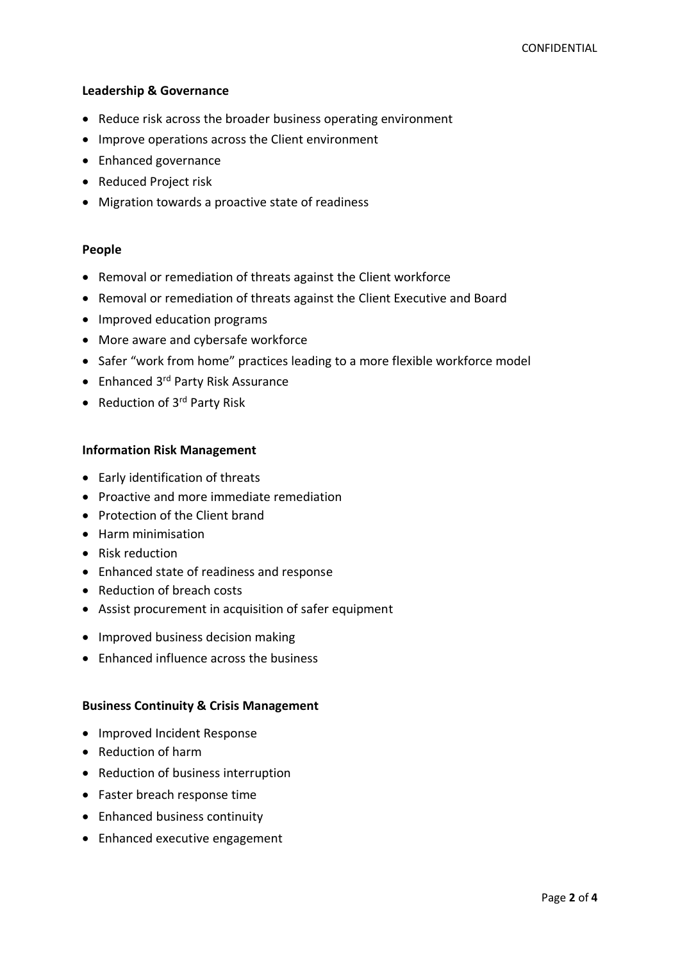### **Leadership & Governance**

- Reduce risk across the broader business operating environment
- Improve operations across the Client environment
- Enhanced governance
- Reduced Project risk
- Migration towards a proactive state of readiness

### **People**

- Removal or remediation of threats against the Client workforce
- Removal or remediation of threats against the Client Executive and Board
- Improved education programs
- More aware and cybersafe workforce
- Safer "work from home" practices leading to a more flexible workforce model
- Enhanced 3<sup>rd</sup> Party Risk Assurance
- Reduction of 3rd Party Risk

### **Information Risk Management**

- Early identification of threats
- Proactive and more immediate remediation
- Protection of the Client brand
- Harm minimisation
- Risk reduction
- Enhanced state of readiness and response
- Reduction of breach costs
- Assist procurement in acquisition of safer equipment
- Improved business decision making
- Enhanced influence across the business

### **Business Continuity & Crisis Management**

- Improved Incident Response
- Reduction of harm
- Reduction of business interruption
- Faster breach response time
- Enhanced business continuity
- Enhanced executive engagement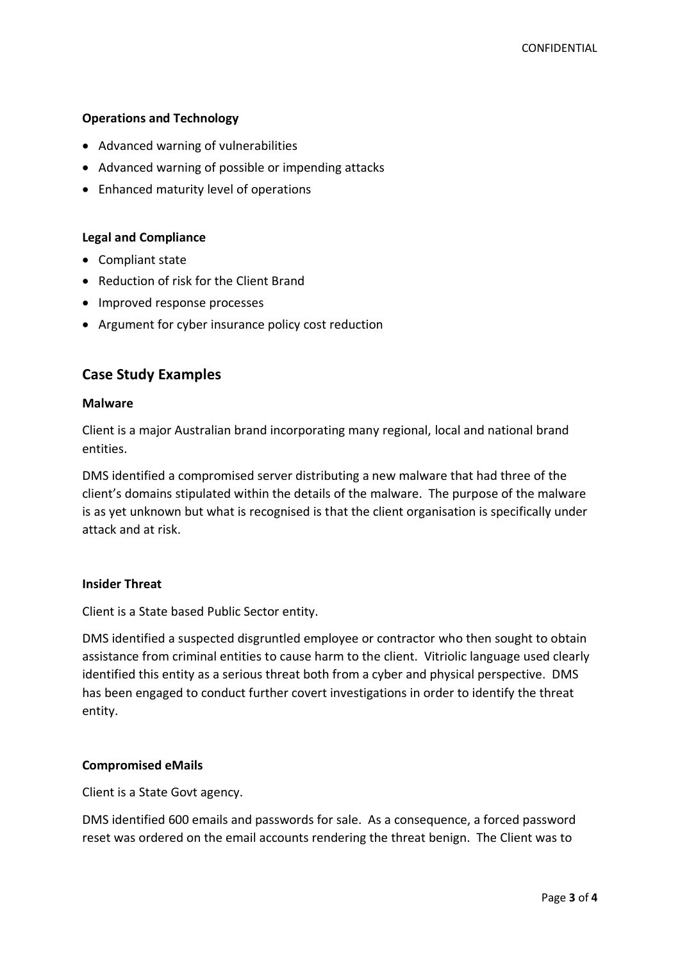## **Operations and Technology**

- Advanced warning of vulnerabilities
- Advanced warning of possible or impending attacks
- Enhanced maturity level of operations

### **Legal and Compliance**

- Compliant state
- Reduction of risk for the Client Brand
- Improved response processes
- Argument for cyber insurance policy cost reduction

# **Case Study Examples**

### **Malware**

Client is a major Australian brand incorporating many regional, local and national brand entities.

DMS identified a compromised server distributing a new malware that had three of the client's domains stipulated within the details of the malware. The purpose of the malware is as yet unknown but what is recognised is that the client organisation is specifically under attack and at risk.

## **Insider Threat**

Client is a State based Public Sector entity.

DMS identified a suspected disgruntled employee or contractor who then sought to obtain assistance from criminal entities to cause harm to the client. Vitriolic language used clearly identified this entity as a serious threat both from a cyber and physical perspective. DMS has been engaged to conduct further covert investigations in order to identify the threat entity.

## **Compromised eMails**

Client is a State Govt agency.

DMS identified 600 emails and passwords for sale. As a consequence, a forced password reset was ordered on the email accounts rendering the threat benign. The Client was to